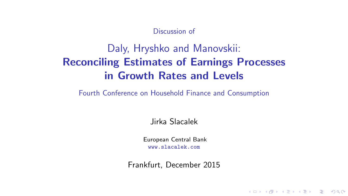#### Discussion of

# Daly, Hryshko and Manovskii: Reconciling Estimates of Earnings Processes in Growth Rates and Levels

Fourth Conference on Household Finance and Consumption

Jirka Slacalek

European Central Bank www.slacalek.com

Frankfurt, December 2015

K ロ ▶ K @ ▶ K 할 ▶ K 할 ▶ | 할 | © 9 Q @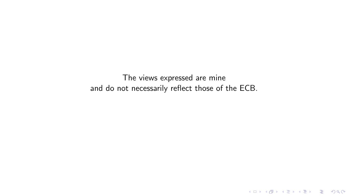The views expressed are mine and do not necessarily reflect those of the ECB.

K ロ ▶ K @ ▶ K 할 ▶ K 할 ▶ | 할 | ⊙Q @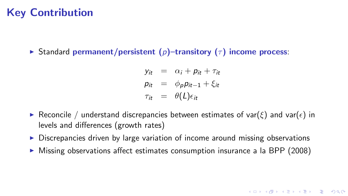### Key Contribution

Standard permanent/persistent (p)–transitory ( $\tau$ ) income process:

$$
y_{it} = \alpha_i + p_{it} + \tau_{it}
$$
  
\n
$$
p_{it} = \phi_p p_{it-1} + \xi_{it}
$$
  
\n
$$
\tau_{it} = \theta(L)\epsilon_{it}
$$

- **F** Reconcile / understand discrepancies between estimates of var( $\xi$ ) and var( $\epsilon$ ) in levels and differences (growth rates)
- $\triangleright$  Discrepancies driven by large variation of income around missing observations
- $\triangleright$  Missing observations affect estimates consumption insurance a la BPP (2008)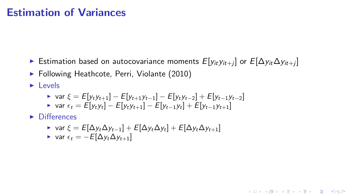#### Estimation of Variances

► Estimation based on autocovariance moments  $E[y_{it}y_{it+j}]$  or  $E[\Delta y_{it} \Delta y_{it+j}]$ 

K ロ ▶ K @ ▶ K 할 ▶ K 할 ▶ | 할 | © 9 Q @

- $\blacktriangleright$  Following Heathcote, Perri, Violante (2010)
- $\blacktriangleright$  Levels

► var 
$$
\xi = E[y_t y_{t+1}] - E[y_{t+1} y_{t-1}] - E[y_t y_{t-2}] + E[y_{t-1} y_{t-2}]
$$
  
\n► var  $\epsilon_t = E[y_t y_t] - E[y_t y_{t+1}] - E[y_{t-1} y_t] + E[y_{t-1} y_{t+1}]$ 

 $\blacktriangleright$  Differences

► var 
$$
\xi = E[\Delta y_t \Delta y_{t-1}] + E[\Delta y_t \Delta y_t] + E[\Delta y_t \Delta y_{t+1}]
$$
  
▶ var  $\epsilon_t = -E[\Delta y_t \Delta y_{t+1}]$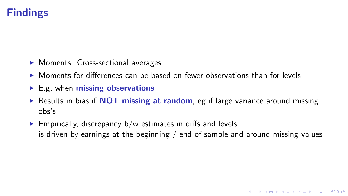# Findings

- $\blacktriangleright$  Moments: Cross-sectional averages
- $\triangleright$  Moments for differences can be based on fewer observations than for levels
- $\blacktriangleright$  E.g. when missing observations
- Results in bias if **NOT** missing at random, eg if large variance around missing obs's
- $\triangleright$  Empirically, discrepancy b/w estimates in diffs and levels is driven by earnings at the beginning / end of sample and around missing values

K ロ ▶ K @ ▶ K 할 ▶ K 할 ▶ | 할 | © 9 Q @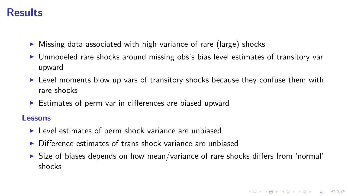### Results

- $\triangleright$  Missing data associated with high variance of rare (large) shocks
- $\triangleright$  Unmodeled rare shocks around missing obs's bias level estimates of transitory var upward
- $\triangleright$  Level moments blow up vars of transitory shocks because they confuse them with rare shocks
- $\triangleright$  Estimates of perm var in differences are biased upward

#### Lessons

- $\blacktriangleright$  Level estimates of perm shock variance are unbiased
- $\triangleright$  Difference estimates of trans shock variance are unbiased
- $\triangleright$  Size of biases depends on how mean/variance of rare shocks differs from 'normal' shocks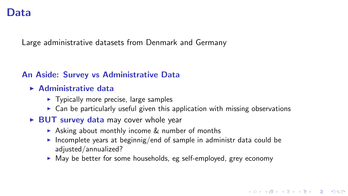#### <span id="page-6-0"></span>Data

Large administrative datasets from Denmark and Germany

#### An Aside: Survey vs Administrative Data

- $\blacktriangleright$  Administrative data
	- $\blacktriangleright$  Typically more precise, large samples
	- $\triangleright$  Can be particularly useful given this application with missing observations
- $\triangleright$  BUT survey data may cover whole year
	- $\triangleright$  Asking about monthly income & number of months
	- Incomplete years at beginnig/end of sample in administr data could be adjusted/annualized?
	- $\triangleright$  May be better for some households, eg self-employed, grey economy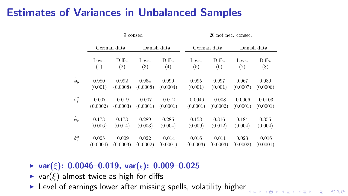# <span id="page-7-0"></span>Estimates of Variances in Unbalanced Samples

|                             |             |                   | 9 consec.         |          | 20 not nec. consec. |          |          |             |  |  |  |  |
|-----------------------------|-------------|-------------------|-------------------|----------|---------------------|----------|----------|-------------|--|--|--|--|
|                             | German data |                   | Danish data       |          | German data         |          |          | Danish data |  |  |  |  |
|                             | Levs.       | Diffs.            | Levs.             | Diffs.   | Levs.               | Diffs.   | Levs.    | Diffs.      |  |  |  |  |
|                             | (1)         | $\left( 2\right)$ | $\left( 3\right)$ | (4)      | (5)                 | (6)      | (7)      | (8)         |  |  |  |  |
| $\hat{\phi}_p$              | 0.980       | 0.992             | 0.964             | 0.990    | 0.995               | 0.997    | 0.967    | 0.989       |  |  |  |  |
|                             | (0.001)     | (0.0008)          | (0.0008)          | (0.0004) | (0.001)             | (0.001)  | (0.0007) | (0.0006)    |  |  |  |  |
| $\hat{\sigma}_{\xi}^2$      | 0.007       | 0.019             | 0.007             | 0.012    | 0.0046              | 0.008    | 0.0066   | 0.0103      |  |  |  |  |
|                             | (0.0002)    | (0.0003)          | (0.0001)          | (0.0001) | (0.0001)            | (0.0002) | (0.0001) | (0.0001)    |  |  |  |  |
| $\hat{\phi}_{\tau}$         | 0.173       | 0.173             | 0.289             | 0.285    | 0.158               | 0.316    | 0.184    | 0.355       |  |  |  |  |
|                             | (0.006)     | (0.014)           | (0.003)           | (0.004)  | (0.009)             | (0.012)  | (0.004)  | (0.004)     |  |  |  |  |
| $\hat{\sigma}^2_{\epsilon}$ | 0.025       | 0.009             | 0.022             | 0.014    | 0.016               | 0.011    | 0.023    | 0.016       |  |  |  |  |
|                             | (0.0004)    | (0.0003)          | (0.0002)          | (0.0001) | (0.0003)            | (0.0003) | (0.0002) | (0.0001)    |  |  |  |  |

 $N \cup N$  is:  $\mathcal{N} \cup \mathcal{N}$  is:  $\mathcal{N} \cup \mathcal{N}$  an[d](#page-8-0)  $\mathcal{N} \cup \mathcal{N}$  and  $\mathcal{N} \cup \mathcal{N}$ 

- ▶ var( $\xi$ ): 0.0046-0.019, var( $\epsilon$ ): 0.009-0.025
- $\blacktriangleright$  var $(\xi)$  almost twice as high for diffs
- $\blacktriangleright$  Level of earnings lower after missing spells, volatility higher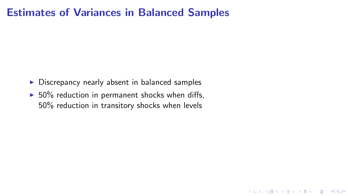#### <span id="page-8-0"></span>Estimates of Variances in Balanced Samples

- $\triangleright$  Discrepancy nearly absent in balanced samples
- $\blacktriangleright$  50% reduction in permanent shocks when diffs, 50% reduction in transitory shocks when levels

K ロ ▶ K @ ▶ K 할 X X 할 X | 할 X 1 9 Q Q ^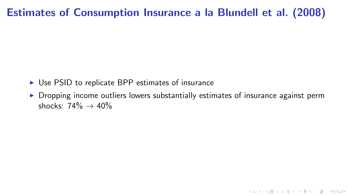## Estimates of Consumption Insurance a la Blundell et al. (2008)

- $\triangleright$  Use PSID to replicate BPP estimates of insurance
- $\triangleright$  Dropping income outliers lowers substantially estimates of insurance against perm shocks:  $74\% \rightarrow 40\%$

K ロ ▶ K @ ▶ K 할 X X 할 X | 할 X 1 9 Q Q ^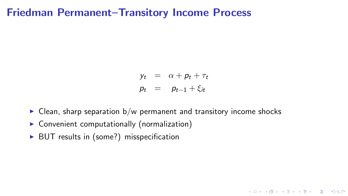#### <span id="page-10-0"></span>Friedman Permanent–Transitory Income Process

$$
y_t = \alpha + p_t + \tau_t
$$
  

$$
p_t = p_{t-1} + \xi_{it}
$$

K ロ ▶ K @ ▶ K 할 X X 할 X | 할 X 1 9 Q Q ^

- $\triangleright$  Clean, sharp separation b/w permanent and transitory income shocks
- $\triangleright$  Convenient computationally (normalization)
- $\triangleright$  BUT results in (some?) misspecification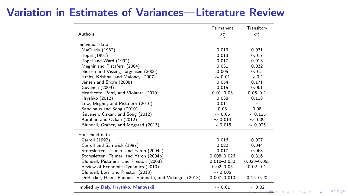#### Variation in Estimates of Variances—Literature Review

| Authors                                               | Permanent<br>$\sigma_{\xi}^2$ | Transitory<br>$\sigma^2_{\epsilon}$ |        |   |     |
|-------------------------------------------------------|-------------------------------|-------------------------------------|--------|---|-----|
| Individual data                                       |                               |                                     |        |   |     |
| MaCurdy (1982)                                        | 0.013                         | 0.031                               |        |   |     |
| Topel (1991)                                          | 0.013                         | 0.017                               |        |   |     |
| Topel and Ward (1992)                                 | 0.017                         | 0.013                               |        |   |     |
| Meghir and Pistaferri (2004)                          | 0.031                         | 0.032                               |        |   |     |
| Nielsen and Vissing-Jorgensen (2006)                  | 0.005                         | 0.015                               |        |   |     |
| Krebs, Krishna, and Maloney (2007)                    | $\sim 0.01$                   | $\sim 0.1$                          |        |   |     |
| Jensen and Shore (2008)                               | 0.054                         | 0.171                               |        |   |     |
| Guvenen (2009)                                        | 0.015                         | 0.061                               |        |   |     |
| Heathcote, Perri, and Violante (2010)                 | $0.01 - 0.03$                 | $0.05 - 0.1$                        |        |   |     |
| Hryshko (2012)                                        | 0.038                         | 0.118                               |        |   |     |
| Low, Meghir, and Pistaferri (2010)                    | 0.011                         |                                     |        |   |     |
| Sabelhaus and Song (2010)                             | 0.03                          | 0.08                                |        |   |     |
| Guvenen, Ozkan, and Song (2012)                       | $\sim 0.05$                   | $\sim 0.125$                        |        |   |     |
| Karahan and Ozkan (2012)                              | $\sim 0.013$                  | $\sim 0.09$                         |        |   |     |
| Blundell, Graber, and Mogstad (2013)                  | $\sim 0.015$                  | $\sim 0.025$                        |        |   |     |
| Household data                                        |                               |                                     |        |   |     |
| Carroll (1992)                                        | 0.016                         | 0.027                               |        |   |     |
| Carroll and Samwick (1997)                            | 0.022                         | 0.044                               |        |   |     |
| Storesletten, Telmer, and Yaron (2004a)               | 0.017                         | 0.063                               |        |   |     |
| Storesletten, Telmer, and Yaron (2004b)               | $0.008 - 0.026$               | 0.316                               |        |   |     |
| Blundell, Pistaferri, and Preston (2008)              | $0.010 - 0.030$               | $0.029 - 0.055$                     |        |   |     |
| Review of Economic Dynamics (2010)                    | $0.02 - 0.05$                 | $0.02 - 0.1$                        |        |   |     |
| Blundell, Low, and Preston (2013)                     | $\sim 0.005$                  |                                     |        |   |     |
| DeBacker, Heim, Panousi, Ramnath, and Vidangos (2013) | $0.007 - 0.010$               | $0.15 - 0.20$                       |        |   |     |
| Implied by Daly, Hryshko, Manovskii                   | $\sim 0.01$                   | $\sim 0.02$                         | ミメ メミメ | э | 200 |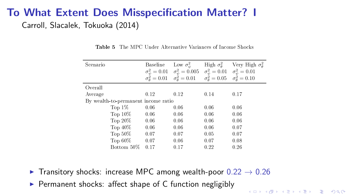### <span id="page-12-0"></span>To What Extent Does Misspecification Matter? I Carroll, Slacalek, Tokuoka (2014)

| Scenario                            | <b>Baseline</b>                                        | Low $\sigma_{ab}^2$                                         | High $\sigma_{\theta}^2$                                                                                   | Very High $\sigma^2_{\theta}$ |
|-------------------------------------|--------------------------------------------------------|-------------------------------------------------------------|------------------------------------------------------------------------------------------------------------|-------------------------------|
|                                     | $\sigma_{\psi}^2 = 0.01$<br>$\sigma_{\theta}^2 = 0.01$ | $\sigma_{\psi}^{2} = 0.005$<br>$\sigma_{\theta}^{2} = 0.01$ | $\sigma_{\psi}^2 = 0.01$ $\sigma_{\psi}^2 = 0.01$<br>$\sigma_{\theta}^2 = 0.05$ $\sigma_{\theta}^2 = 0.10$ |                               |
|                                     |                                                        |                                                             |                                                                                                            |                               |
| Overall                             |                                                        |                                                             |                                                                                                            |                               |
| Average                             | 0.12                                                   | 0.12                                                        | 0.14                                                                                                       | 0.17                          |
| By wealth to permanent income ratio |                                                        |                                                             |                                                                                                            |                               |
| Top $1\%$                           | 0.06                                                   | 0.06                                                        | 0.06                                                                                                       | 0.06                          |
| Top $10\%$                          | 0.06                                                   | 0.06                                                        | 0.06                                                                                                       | 0.06                          |
| Top $20\%$                          | 0.06                                                   | 0.06                                                        | 0.06                                                                                                       | 0.06                          |
| Top $40\%$                          | 0.06                                                   | 0.06                                                        | 0.06                                                                                                       | 0.07                          |
| Top $50\%$                          | 0.07                                                   | 0.07                                                        | 0.05                                                                                                       | 0.07                          |
| Top $60\%$                          | 0.07                                                   | 0.06                                                        | 0.07                                                                                                       | 0.08                          |
| Bottom 50%                          | 0.17                                                   | 0.17                                                        | 0.22                                                                                                       | 0.26                          |

**KORK STRATER STRAKES** 

Table 5 The MPC Under Alternative Variances of Income Shocks

- $T_{\text{MDC}}$  0.11 0.09  $\blacktriangleright$  Transitory shocks: increase MPC among wealth-poor  $0.22 \rightarrow 0.26$
- Top 40% 0.11 0.11 0.12 0.14  $\blacktriangleright$  Permanent shocks: affect shape of C function negligibly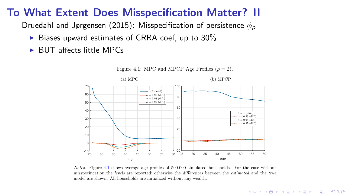# To What Extent Does Misspecification Matter? II

Druedahl and Jørgensen (2015): Misspecification of persistence  $\phi_{\bm p}$ 

- $\blacktriangleright$  Biases upward estimates of CRRA coef, up to 30%  $\frac{1}{2}$  examples of CNNA coef, up to 30%.
- $\blacktriangleright$  BUT affects little MPCs



Figure 4.1: MPC and MPCP Age Profiles  $(\rho = 2)$ .

*Notes:* Figure 4.1 shows average age profiles of 500.000 simulated households. For the case without misspecification the *levels* are reported; otherwise the *differences* between the *estimated* and the *true* model are shown. All households are initialized without any wealth.

**KORK STRATER STRAKES**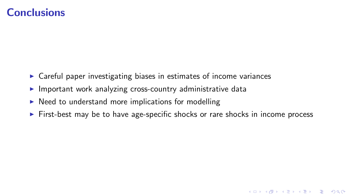#### **Conclusions**

- $\triangleright$  Careful paper investigating biases in estimates of income variances
- $\blacktriangleright$  Important work analyzing cross-country administrative data
- $\triangleright$  Need to understand more implications for modelling
- $\triangleright$  First-best may be to have age-specific shocks or rare shocks in income process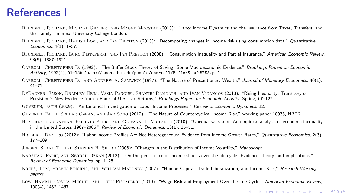#### References I

- BLUNDELL, RICHARD, MICHAEL GRABER, AND MAGNE MOGSTAD (2013): "Labor Income Dynamics and the Insurance from Taxes, Transfers, and the Family," mimeo, University College London.
- BLUNDELL, RICHARD, HAMISH LOW, AND IAN PRESTON (2013): "Decomposing changes in income risk using consumption data." Quantitative Economics, 4(1), 1–37.
- BLUNDELL, RICHARD, LUIGI PISTAFERRI, AND IAN PRESTON (2008): "Consumption Inequality and Partial Insurance." American Economic Review, 98(5), 1887–1921.
- CARROLL, CHRISTOPHER D. (1992): "The Buffer-Stock Theory of Saving: Some Macroeconomic Evidence," Brookings Papers on Economic Activity, 1992(2), 61–156, <http://econ.jhu.edu/people/ccarroll/BufferStockBPEA.pdf>.
- Carroll, Christopher D., and Andrew A. Samwick (1997): "The Nature of Precautionary Wealth," Journal of Monetary Economics, 40(1), 41–71.
- DeBacker, Jason, Bradley Heim, Vasia Panousi, Shanthi Ramnath, and Ivan Vidangos (2013): "Rising Inequality: Transitory or Persistent? New Evidence from a Panel of U.S. Tax Returns," Brookings Papers on Economic Activity, Spring, 67–122.

Guvenen, Fatih (2009): "An Empirical Investigation of Labor Income Processes," Review of Economic Dynamics, 12.

Guvenen, Fatih, Serdar Ozkan, and Jae Song (2012): "The Nature of Countercyclical Income Risk," working paper 18035, NBER.

- HEATHCOTE, JONATHAN, FABRIZIO PERRI, AND GIOVANNI L. VIOLANTE (2010): "Unequal we stand: An empirical analysis of economic inequality in the United States, 1967–2006," Review of Economic Dynamics, 13(1), 15–51.
- HRYSHKO, DMYTRO (2012): "Labor Income Profiles Are Not Heterogeneous: Evidence from Income Growth Rates." Quantitative Economics, 2(3), 177–209.
- Jensen, Shane T., and Stephen H. Shore (2008): "Changes in the Distribution of Income Volatility," Manuscript.
- Karahan, Fatih, and Serdar Ozkan (2012): "On the persistence of income shocks over the life cycle: Evidence, theory, and implications," Review of Economic Dynamics, pp. 1–25.
- KREBS, TOM, PRAVIN KRISHNA, AND WILLIAM MALONEY (2007): "Human Capital, Trade Liberalization, and Income Risk," Research Working papers.
- LOW, HAMISH, COSTAS MEGHIR, AND LUIGI PISTAFERRI (2010): "Wage Risk and Employment Over the Life Cycle," American Economic Review, 100(4), 1432–1467.**KORKARRA ERKER EL POLO**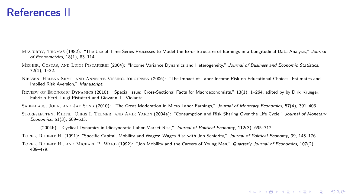#### References II

- MACURDY, THOMAS (1982): "The Use of Time Series Processes to Model the Error Structure of Earnings in a Longitudinal Data Analysis." Journal of Econometrics, 18(1), 83–114.
- MEGHIR, COSTAS, AND LUIGI PISTAFERRI (2004): "Income Variance Dynamics and Heterogeneity," Journal of Business and Economic Statistics. 72(1), 1–32.
- Nielsen, Helena Skyt, and Annette Vissing-Jorgensen (2006): "The Impact of Labor Income Risk on Educational Choices: Estimates and Implied Risk Aversion," Manuscript.
- Review of Economic Dynamics (2010): "Special Issue: Cross-Sectional Facts for Macroeconomists," 13(1), 1–264, edited by by Dirk Krueger, Fabrizio Perri, Luigi Pistaferri and Giovanni L. Violante.

Sabelhaus, John, and Jae Song (2010): "The Great Moderation in Micro Labor Earnings," Journal of Monetary Economics, 57(4), 391–403.

- STORESLETTEN, KJETIL, CHRIS I. TELMER, AND AMIR YARON (2004a): "Consumption and Risk Sharing Over the Life Cycle," Journal of Monetary Economics, 51(3), 609–633.
- (2004b): "Cyclical Dynamics in Idiosyncratic Labor-Market Risk," Journal of Political Economy, 112(3), 695–717.

Topel, Robert H. (1991): "Specific Capital, Mobility and Wages: Wages Rise with Job Seniority," Journal of Political Economy, 99, 145–176.

Topel, Robert H., and Michael P. Ward (1992): "Job Mobility and the Careers of Young Men," Quarterly Journal of Economics, 107(2), 439–479.

**KORKARRA ERKER EL POLO**